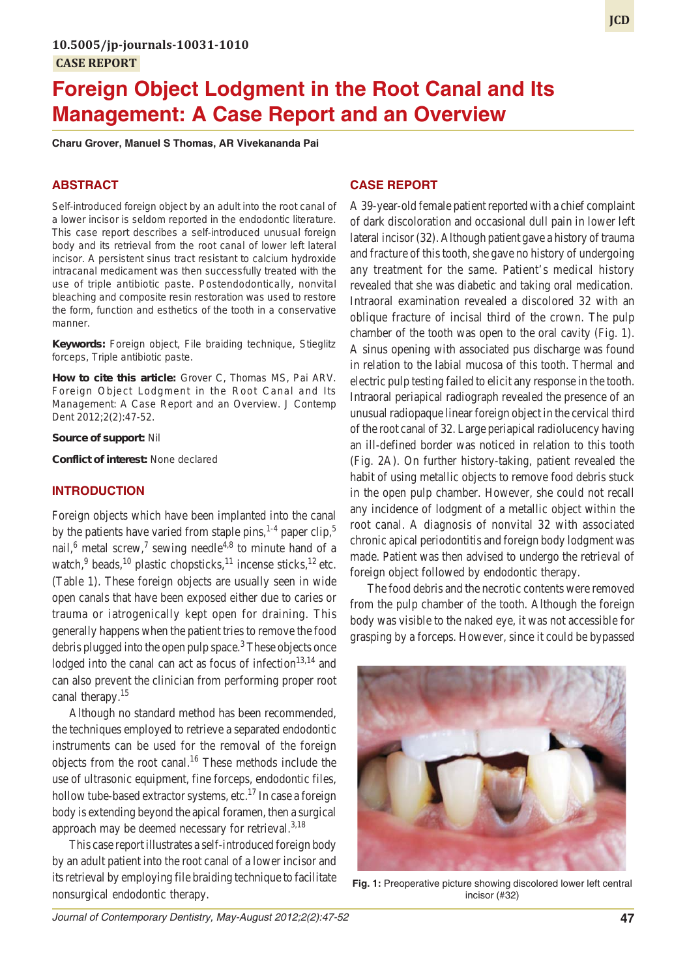# **Foreign Object Lodgment in the Root Canal and Its Management: A Case Report and an Overview**

**Charu Grover, Manuel S Thomas, AR Vivekananda Pai**

## **ABSTRACT**

Self-introduced foreign object by an adult into the root canal of a lower incisor is seldom reported in the endodontic literature. This case report describes a self-introduced unusual foreign body and its retrieval from the root canal of lower left lateral incisor. A persistent sinus tract resistant to calcium hydroxide intracanal medicament was then successfully treated with the use of triple antibiotic paste. Postendodontically, nonvital bleaching and composite resin restoration was used to restore the form, function and esthetics of the tooth in a conservative manner.

**Keywords:** Foreign object, File braiding technique, Stieglitz forceps, Triple antibiotic paste.

**How to cite this article:** Grover C, Thomas MS, Pai ARV. Foreign Object Lodgment in the Root Canal and Its Management: A Case Report and an Overview. J Contemp Dent 2012;2(2):47-52.

#### **Source of support:** Nil

**Conflict of interest:** None declared

## **INTRODUCTION**

Foreign objects which have been implanted into the canal by the patients have varied from staple pins, $1-4$  paper clip, $5$ nail,<sup>6</sup> metal screw,<sup>7</sup> sewing needle<sup>4,8</sup> to minute hand of a watch,<sup>9</sup> beads,<sup>10</sup> plastic chopsticks,<sup>11</sup> incense sticks,<sup>12</sup> etc. (Table 1). These foreign objects are usually seen in wide open canals that have been exposed either due to caries or trauma or iatrogenically kept open for draining. This generally happens when the patient tries to remove the food debris plugged into the open pulp space.<sup>3</sup> These objects once lodged into the canal can act as focus of infection $13,14$  and can also prevent the clinician from performing proper root canal therapy.<sup>15</sup>

Although no standard method has been recommended, the techniques employed to retrieve a separated endodontic instruments can be used for the removal of the foreign objects from the root canal.16 These methods include the use of ultrasonic equipment, fine forceps, endodontic files, hollow tube-based extractor systems, etc.<sup>17</sup> In case a foreign body is extending beyond the apical foramen, then a surgical approach may be deemed necessary for retrieval.<sup>3,18</sup>

This case report illustrates a self-introduced foreign body by an adult patient into the root canal of a lower incisor and its retrieval by employing file braiding technique to facilitate nonsurgical endodontic therapy.

# **CASE REPORT**

A 39-year-old female patient reported with a chief complaint of dark discoloration and occasional dull pain in lower left lateral incisor (32). Although patient gave a history of trauma and fracture of this tooth, she gave no history of undergoing any treatment for the same. Patient's medical history revealed that she was diabetic and taking oral medication. Intraoral examination revealed a discolored 32 with an oblique fracture of incisal third of the crown. The pulp chamber of the tooth was open to the oral cavity (Fig. 1). A sinus opening with associated pus discharge was found in relation to the labial mucosa of this tooth. Thermal and electric pulp testing failed to elicit any response in the tooth. Intraoral periapical radiograph revealed the presence of an unusual radiopaque linear foreign object in the cervical third of the root canal of 32. Large periapical radiolucency having an ill-defined border was noticed in relation to this tooth (Fig. 2A). On further history-taking, patient revealed the habit of using metallic objects to remove food debris stuck in the open pulp chamber. However, she could not recall any incidence of lodgment of a metallic object within the root canal. A diagnosis of nonvital 32 with associated chronic apical periodontitis and foreign body lodgment was made. Patient was then advised to undergo the retrieval of foreign object followed by endodontic therapy.

The food debris and the necrotic contents were removed from the pulp chamber of the tooth. Although the foreign body was visible to the naked eye, it was not accessible for grasping by a forceps. However, since it could be bypassed



**Fig. 1:** Preoperative picture showing discolored lower left central incisor (#32)

**JCD**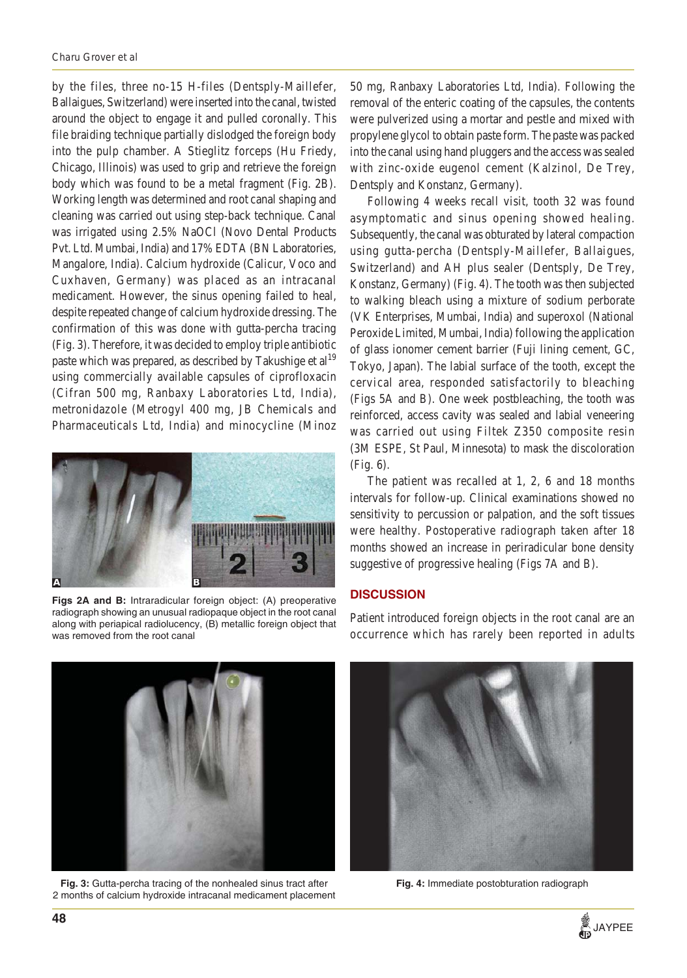by the files, three no-15 H-files (Dentsply-Maillefer, Ballaigues, Switzerland) were inserted into the canal, twisted around the object to engage it and pulled coronally. This file braiding technique partially dislodged the foreign body into the pulp chamber. A Stieglitz forceps (Hu Friedy, Chicago, Illinois) was used to grip and retrieve the foreign body which was found to be a metal fragment (Fig. 2B). Working length was determined and root canal shaping and cleaning was carried out using step-back technique. Canal was irrigated using 2.5% NaOCl (Novo Dental Products Pvt. Ltd. Mumbai, India) and 17% EDTA (BN Laboratories, Mangalore, India). Calcium hydroxide (Calicur, Voco and Cuxhaven, Germany) was placed as an intracanal medicament. However, the sinus opening failed to heal, despite repeated change of calcium hydroxide dressing. The confirmation of this was done with gutta-percha tracing (Fig. 3). Therefore, it was decided to employ triple antibiotic paste which was prepared, as described by Takushige et al<sup>19</sup> using commercially available capsules of ciprofloxacin (Cifran 500 mg, Ranbaxy Laboratories Ltd, India), metronidazole (Metrogyl 400 mg, JB Chemicals and Pharmaceuticals Ltd, India) and minocycline (Minoz



**Figs 2A and B:** Intraradicular foreign object: (A) preoperative radiograph showing an unusual radiopaque object in the root canal along with periapical radiolucency, (B) metallic foreign object that was removed from the root canal

50 mg, Ranbaxy Laboratories Ltd, India). Following the removal of the enteric coating of the capsules, the contents were pulverized using a mortar and pestle and mixed with propylene glycol to obtain paste form. The paste was packed into the canal using hand pluggers and the access was sealed with zinc-oxide eugenol cement (Kalzinol, De Trey, Dentsply and Konstanz, Germany).

Following 4 weeks recall visit, tooth 32 was found asymptomatic and sinus opening showed healing. Subsequently, the canal was obturated by lateral compaction using gutta-percha (Dentsply-Maillefer, Ballaigues, Switzerland) and AH plus sealer (Dentsply, De Trey, Konstanz, Germany) (Fig. 4). The tooth was then subjected to walking bleach using a mixture of sodium perborate (VK Enterprises, Mumbai, India) and superoxol (National Peroxide Limited, Mumbai, India) following the application of glass ionomer cement barrier (Fuji lining cement, GC, Tokyo, Japan). The labial surface of the tooth, except the cervical area, responded satisfactorily to bleaching (Figs 5A and B). One week postbleaching, the tooth was reinforced, access cavity was sealed and labial veneering was carried out using Filtek Z350 composite resin (3M ESPE, St Paul, Minnesota) to mask the discoloration (Fig. 6).

The patient was recalled at 1, 2, 6 and 18 months intervals for follow-up. Clinical examinations showed no sensitivity to percussion or palpation, and the soft tissues were healthy. Postoperative radiograph taken after 18 months showed an increase in periradicular bone density suggestive of progressive healing (Figs 7A and B).

## **DISCUSSION**

Patient introduced foreign objects in the root canal are an occurrence which has rarely been reported in adults



**Fig. 3:** Gutta-percha tracing of the nonhealed sinus tract after 2 months of calcium hydroxide intracanal medicament placement



**Fig. 4:** Immediate postobturation radiograph

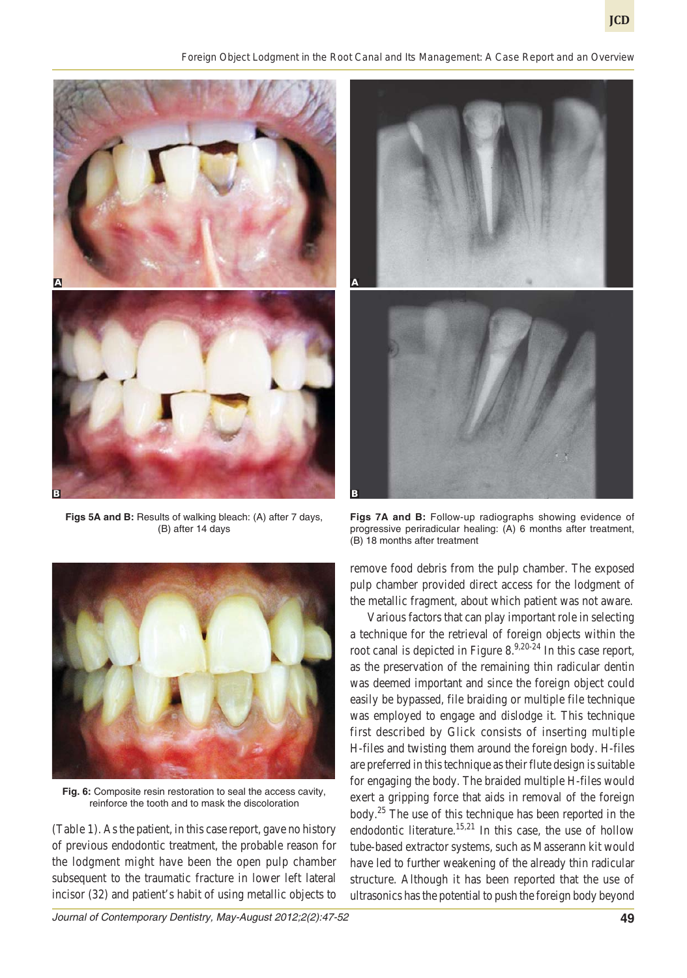*Foreign Object Lodgment in the Root Canal and Its Management: A Case Report and an Overview*



**Figs 5A and B:** Results of walking bleach: (A) after 7 days, (B) after 14 days



**Fig. 6:** Composite resin restoration to seal the access cavity, reinforce the tooth and to mask the discoloration

(Table 1). As the patient, in this case report, gave no history of previous endodontic treatment, the probable reason for the lodgment might have been the open pulp chamber subsequent to the traumatic fracture in lower left lateral incisor (32) and patient's habit of using metallic objects to



**Figs 7A and B:** Follow-up radiographs showing evidence of progressive periradicular healing: (A) 6 months after treatment, (B) 18 months after treatment

remove food debris from the pulp chamber. The exposed pulp chamber provided direct access for the lodgment of the metallic fragment, about which patient was not aware.

Various factors that can play important role in selecting a technique for the retrieval of foreign objects within the root canal is depicted in Figure  $8^{9,20-24}$  In this case report, as the preservation of the remaining thin radicular dentin was deemed important and since the foreign object could easily be bypassed, file braiding or multiple file technique was employed to engage and dislodge it. This technique first described by Glick consists of inserting multiple H-files and twisting them around the foreign body. H-files are preferred in this technique as their flute design is suitable for engaging the body. The braided multiple H-files would exert a gripping force that aids in removal of the foreign body.25 The use of this technique has been reported in the endodontic literature.<sup>15,21</sup> In this case, the use of hollow tube-based extractor systems, such as Masserann kit would have led to further weakening of the already thin radicular structure. Although it has been reported that the use of ultrasonics has the potential to push the foreign body beyond

*Journal of Contemporary Dentistry, May-August 2012;2(2):47-52* **49**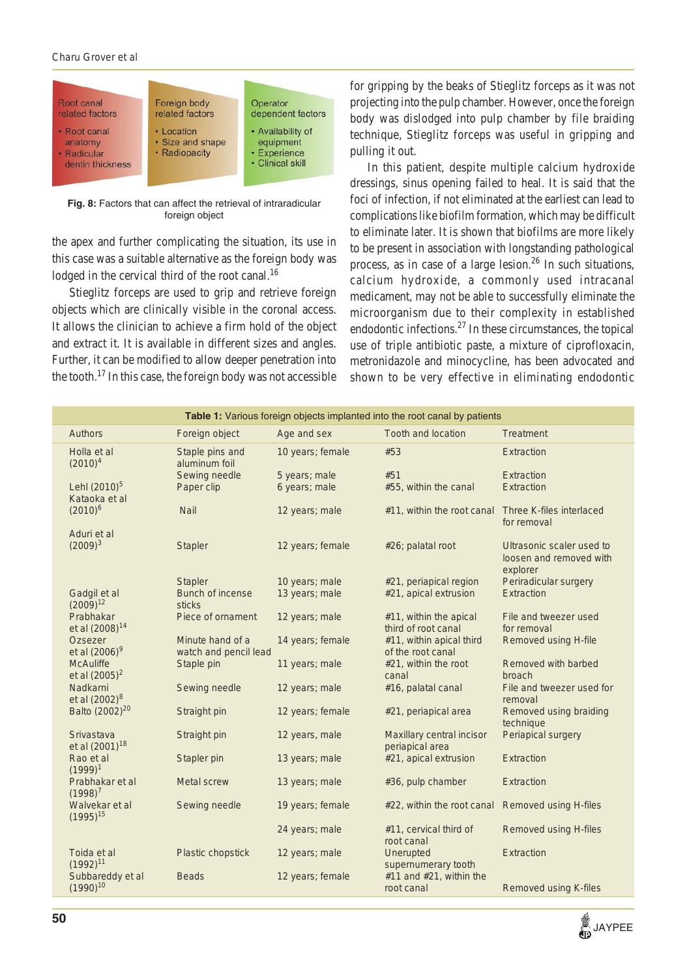#### *Charu Grover et al*



**Fig. 8:** Factors that can affect the retrieval of intraradicular foreign object

the apex and further complicating the situation, its use in this case was a suitable alternative as the foreign body was lodged in the cervical third of the root canal.<sup>16</sup>

Stieglitz forceps are used to grip and retrieve foreign objects which are clinically visible in the coronal access. It allows the clinician to achieve a firm hold of the object and extract it. It is available in different sizes and angles. Further, it can be modified to allow deeper penetration into the tooth.17 In this case, the foreign body was not accessible

for gripping by the beaks of Stieglitz forceps as it was not projecting into the pulp chamber. However, once the foreign body was dislodged into pulp chamber by file braiding technique, Stieglitz forceps was useful in gripping and pulling it out.

In this patient, despite multiple calcium hydroxide dressings, sinus opening failed to heal. It is said that the foci of infection, if not eliminated at the earliest can lead to complications like biofilm formation, which may be difficult to eliminate later. It is shown that biofilms are more likely to be present in association with longstanding pathological process, as in case of a large lesion. $26$  In such situations, calcium hydroxide, a commonly used intracanal medicament, may not be able to successfully eliminate the microorganism due to their complexity in established endodontic infections.<sup>27</sup> In these circumstances, the topical use of triple antibiotic paste, a mixture of ciprofloxacin, metronidazole and minocycline, has been advocated and shown to be very effective in eliminating endodontic

| Table 1: Various foreign objects implanted into the root canal by patients |                                          |                                           |                                |                                               |                                                      |
|----------------------------------------------------------------------------|------------------------------------------|-------------------------------------------|--------------------------------|-----------------------------------------------|------------------------------------------------------|
|                                                                            | <b>Authors</b>                           | Foreign object                            | Age and sex                    | <b>Tooth and location</b>                     | <b>Treatment</b>                                     |
|                                                                            | Holla et al<br>$(2010)^4$                | Staple pins and<br>aluminum foil          | 10 years; female               | #53                                           | Extraction                                           |
|                                                                            | Lehl (2010) <sup>5</sup>                 | Sewing needle<br>Paper clip               | 5 years; male<br>6 years; male | #51<br>#55, within the canal                  | Extraction<br>Extraction                             |
|                                                                            | Kataoka et al<br>$(2010)^6$              | <b>Nail</b>                               | 12 years; male                 | #11, within the root canal                    | Three K-files interlaced<br>for removal              |
|                                                                            | Aduri et al<br>$(2009)^3$                | <b>Stapler</b>                            | 12 years; female               | #26; palatal root                             | Ultrasonic scaler used to<br>loosen and removed with |
|                                                                            |                                          | <b>Stapler</b>                            | 10 years; male                 | #21, periapical region                        | explorer<br>Periradicular surgery                    |
|                                                                            | Gadgil et al<br>$(2009)^{12}$            | <b>Bunch of incense</b><br>sticks         | 13 years; male                 | #21, apical extrusion                         | Extraction                                           |
|                                                                            | Prabhakar<br>et al (2008) <sup>14</sup>  | Piece of ornament                         | 12 years; male                 | #11, within the apical<br>third of root canal | File and tweezer used<br>for removal                 |
|                                                                            | Ozsezer<br>et al (2006) <sup>9</sup>     | Minute hand of a<br>watch and pencil lead | 14 years; female               | #11, within apical third<br>of the root canal | Removed using H-file                                 |
|                                                                            | <b>McAuliffe</b><br>et al $(2005)^2$     | Staple pin                                | 11 years; male                 | #21, within the root<br>canal                 | Removed with barbed<br>broach                        |
|                                                                            | Nadkarni<br>et al (2002) <sup>8</sup>    | Sewing needle                             | 12 years; male                 | #16, palatal canal                            | File and tweezer used for<br>removal                 |
|                                                                            | Balto (2002) <sup>20</sup>               | Straight pin                              | 12 years; female               | #21, periapical area                          | Removed using braiding<br>technique                  |
|                                                                            | Srivastava<br>et al (2001) <sup>18</sup> | Straight pin                              | 12 years, male                 | Maxillary central incisor<br>periapical area  | Periapical surgery                                   |
|                                                                            | Rao et al<br>$(1999)^1$                  | Stapler pin                               | 13 years; male                 | #21, apical extrusion                         | Extraction                                           |
|                                                                            | Prabhakar et al<br>$(1998)^{7}$          | <b>Metal screw</b>                        | 13 years; male                 | #36, pulp chamber                             | Extraction                                           |
|                                                                            | Walvekar et al<br>$(1995)^{15}$          | Sewing needle                             | 19 years; female               | #22, within the root canal                    | <b>Removed using H-files</b>                         |
|                                                                            |                                          |                                           | 24 years; male                 | #11, cervical third of<br>root canal          | <b>Removed using H-files</b>                         |
|                                                                            | Toida et al<br>$(1992)^{11}$             | Plastic chopstick                         | 12 years; male                 | Unerupted<br>supernumerary tooth              | Extraction                                           |
|                                                                            | Subbareddy et al<br>$(1990)^{10}$        | <b>Beads</b>                              | 12 years; female               | #11 and #21, within the<br>root canal         | <b>Removed using K-files</b>                         |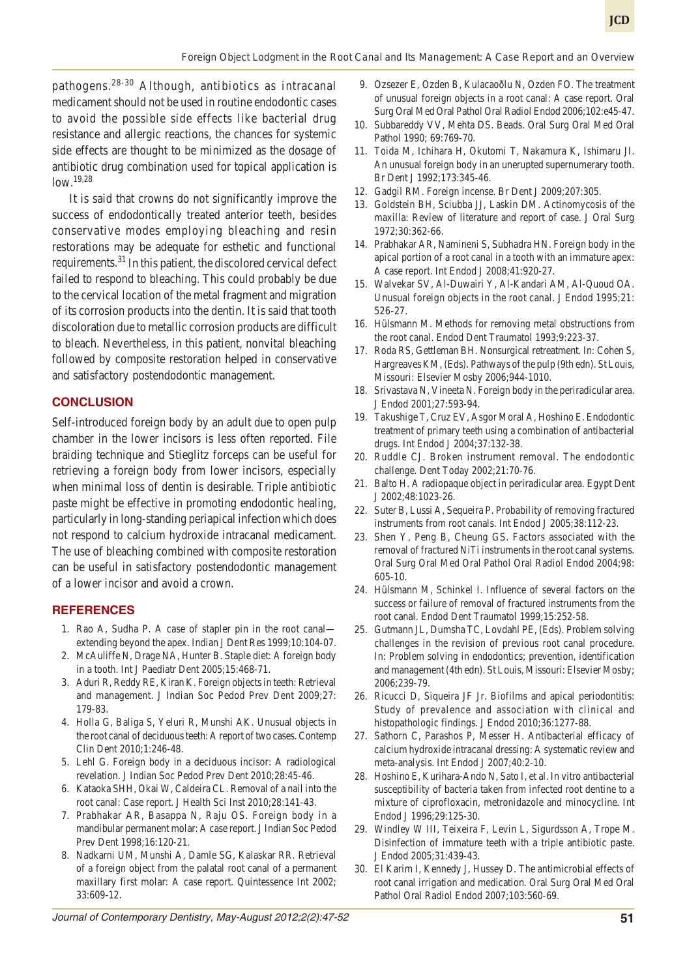pathogens.28-30 Although, antibiotics as intracanal medicament should not be used in routine endodontic cases to avoid the possible side effects like bacterial drug resistance and allergic reactions, the chances for systemic side effects are thought to be minimized as the dosage of antibiotic drug combination used for topical application is low.19,28

It is said that crowns do not significantly improve the success of endodontically treated anterior teeth, besides conservative modes employing bleaching and resin restorations may be adequate for esthetic and functional requirements.<sup>31</sup> In this patient, the discolored cervical defect failed to respond to bleaching. This could probably be due to the cervical location of the metal fragment and migration of its corrosion products into the dentin. It is said that tooth discoloration due to metallic corrosion products are difficult to bleach. Nevertheless, in this patient, nonvital bleaching followed by composite restoration helped in conservative and satisfactory postendodontic management.

#### **CONCLUSION**

Self-introduced foreign body by an adult due to open pulp chamber in the lower incisors is less often reported. File braiding technique and Stieglitz forceps can be useful for retrieving a foreign body from lower incisors, especially when minimal loss of dentin is desirable. Triple antibiotic paste might be effective in promoting endodontic healing, particularly in long-standing periapical infection which does not respond to calcium hydroxide intracanal medicament. The use of bleaching combined with composite restoration can be useful in satisfactory postendodontic management of a lower incisor and avoid a crown.

#### **REFERENCES**

- 1. Rao A, Sudha P. A case of stapler pin in the root canal extending beyond the apex. Indian J Dent Res 1999;10:104-07.
- 2. McAuliffe N, Drage NA, Hunter B. Staple diet: A foreign body in a tooth. Int J Paediatr Dent 2005;15:468-71.
- 3. Aduri R, Reddy RE, Kiran K. Foreign objects in teeth: Retrieval and management. J Indian Soc Pedod Prev Dent 2009;27: 179-83.
- 4. Holla G, Baliga S, Yeluri R, Munshi AK. Unusual objects in the root canal of deciduous teeth: A report of two cases. Contemp Clin Dent 2010;1:246-48.
- 5. Lehl G. Foreign body in a deciduous incisor: A radiological revelation. J Indian Soc Pedod Prev Dent 2010;28:45-46.
- 6. Kataoka SHH, Okai W, Caldeira CL. Removal of a nail into the root canal: Case report. J Health Sci Inst 2010;28:141-43.
- 7. Prabhakar AR, Basappa N, Raju OS. Foreign body in a mandibular permanent molar: A case report. J Indian Soc Pedod Prev Dent 1998;16:120-21.
- 8. Nadkarni UM, Munshi A, Damle SG, Kalaskar RR. Retrieval of a foreign object from the palatal root canal of a permanent maxillary first molar: A case report. Quintessence Int 2002; 33:609-12.
- *Journal of Contemporary Dentistry, May-August 2012;2(2):47-52* **51**
- 9. Ozsezer E, Ozden B, Kulacaoðlu N, Ozden FO. The treatment of unusual foreign objects in a root canal: A case report. Oral Surg Oral Med Oral Pathol Oral Radiol Endod 2006;102:e45-47.
- 10. Subbareddy VV, Mehta DS. Beads. Oral Surg Oral Med Oral Pathol 1990; 69:769-70.
- 11. Toida M, Ichihara H, Okutomi T, Nakamura K, Ishimaru JI. An unusual foreign body in an unerupted supernumerary tooth. Br Dent J 1992;173:345-46.
- 12. Gadgil RM. Foreign incense. Br Dent J 2009;207:305.
- 13. Goldstein BH, Sciubba JJ, Laskin DM. Actinomycosis of the maxilla: Review of literature and report of case. J Oral Surg 1972;30:362-66.
- 14. Prabhakar AR, Namineni S, Subhadra HN. Foreign body in the apical portion of a root canal in a tooth with an immature apex: A case report. Int Endod J 2008;41:920-27.
- 15. Walvekar SV, Al-Duwairi Y, Al-Kandari AM, Al-Quoud OA. Unusual foreign objects in the root canal. J Endod 1995;21: 526-27.
- 16. Hülsmann M. Methods for removing metal obstructions from the root canal. Endod Dent Traumatol 1993;9:223-37.
- 17. Roda RS, Gettleman BH. Nonsurgical retreatment. In: Cohen S, Hargreaves KM, (Eds). Pathways of the pulp (9th edn). St Louis, Missouri: Elsevier Mosby 2006;944-1010.
- 18. Srivastava N, Vineeta N. Foreign body in the periradicular area. J Endod 2001;27:593-94.
- 19. Takushige T, Cruz EV, Asgor Moral A, Hoshino E. Endodontic treatment of primary teeth using a combination of antibacterial drugs. Int Endod J 2004;37:132-38.
- 20. Ruddle CJ. Broken instrument removal. The endodontic challenge. Dent Today 2002;21:70-76.
- 21. Balto H. A radiopaque object in periradicular area. Egypt Dent J 2002;48:1023-26.
- 22. Suter B, Lussi A, Sequeira P. Probability of removing fractured instruments from root canals. Int Endod J 2005;38:112-23.
- 23. Shen Y, Peng B, Cheung GS. Factors associated with the removal of fractured NiTi instruments in the root canal systems. Oral Surg Oral Med Oral Pathol Oral Radiol Endod 2004;98: 605-10.
- 24. Hülsmann M, Schinkel I. Influence of several factors on the success or failure of removal of fractured instruments from the root canal. Endod Dent Traumatol 1999;15:252-58.
- 25. Gutmann JL, Dumsha TC, Lovdahl PE, (Eds). Problem solving challenges in the revision of previous root canal procedure. In: Problem solving in endodontics; prevention, identification and management (4th edn). St Louis, Missouri: Elsevier Mosby; 2006;239-79.
- 26. Ricucci D, Siqueira JF Jr. Biofilms and apical periodontitis: Study of prevalence and association with clinical and histopathologic findings. J Endod 2010;36:1277-88.
- 27. Sathorn C, Parashos P, Messer H. Antibacterial efficacy of calcium hydroxide intracanal dressing: A systematic review and meta-analysis. Int Endod J 2007;40:2-10.
- 28. Hoshino E, Kurihara-Ando N, Sato I, et al. In vitro antibacterial susceptibility of bacteria taken from infected root dentine to a mixture of ciprofloxacin, metronidazole and minocycline. Int Endod J 1996;29:125-30.
- 29. Windley W III, Teixeira F, Levin L, Sigurdsson A, Trope M. Disinfection of immature teeth with a triple antibiotic paste. J Endod 2005;31:439-43.
- 30. El Karim I, Kennedy J, Hussey D. The antimicrobial effects of root canal irrigation and medication. Oral Surg Oral Med Oral Pathol Oral Radiol Endod 2007;103:560-69.